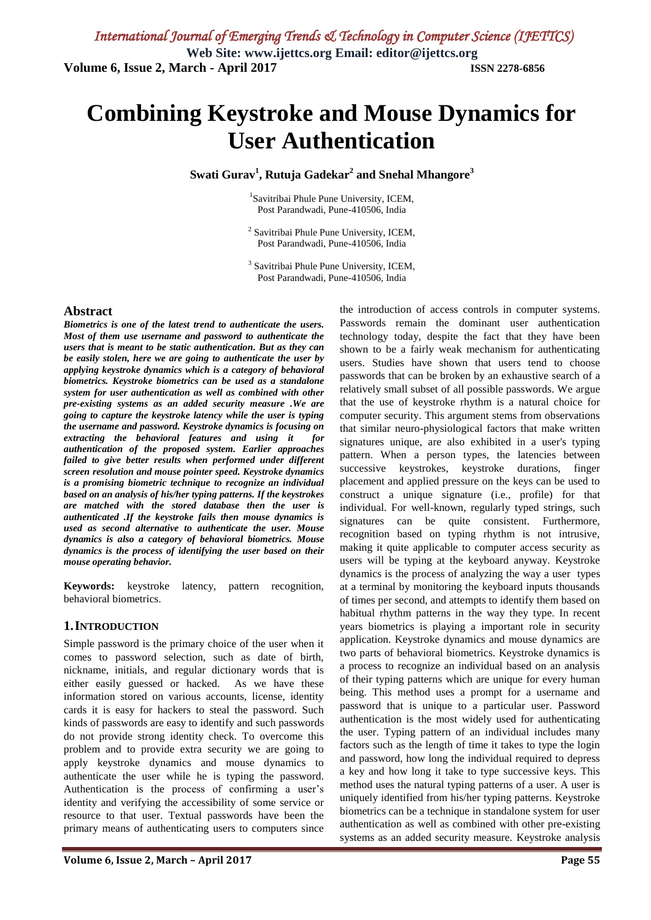# **Combining Keystroke and Mouse Dynamics for User Authentication**

**Swati Gurav<sup>1</sup> , Rutuja Gadekar<sup>2</sup> and Snehal Mhangore<sup>3</sup>**

<sup>1</sup>Savitribai Phule Pune University, ICEM, Post Parandwadi, Pune-410506, India

<sup>2</sup> Savitribai Phule Pune University, ICEM, Post Parandwadi, Pune-410506, India

3 Savitribai Phule Pune University, ICEM, Post Parandwadi, Pune-410506, India

#### **Abstract**

*Biometrics is one of the latest trend to authenticate the users. Most of them use username and password to authenticate the users that is meant to be static authentication. But as they can be easily stolen, here we are going to authenticate the user by applying keystroke dynamics which is a category of behavioral biometrics. Keystroke biometrics can be used as a standalone system for user authentication as well as combined with other pre-existing systems as an added security measure .We are going to capture the keystroke latency while the user is typing the username and password. Keystroke dynamics is focusing on extracting the behavioral features and using it for authentication of the proposed system. Earlier approaches failed to give better results when performed under different screen resolution and mouse pointer speed. Keystroke dynamics is a promising biometric technique to recognize an individual based on an analysis of his/her typing patterns. If the keystrokes are matched with the stored database then the user is authenticated .If the keystroke fails then mouse dynamics is used as second alternative to authenticate the user. Mouse dynamics is also a category of behavioral biometrics. Mouse dynamics is the process of identifying the user based on their mouse operating behavior.*

**Keywords:** keystroke latency, pattern recognition, behavioral biometrics.

### **1.INTRODUCTION**

Simple password is the primary choice of the user when it comes to password selection, such as date of birth, nickname, initials, and regular dictionary words that is either easily guessed or hacked. As we have these information stored on various accounts, license, identity cards it is easy for hackers to steal the password. Such kinds of passwords are easy to identify and such passwords do not provide strong identity check. To overcome this problem and to provide extra security we are going to apply keystroke dynamics and mouse dynamics to authenticate the user while he is typing the password. Authentication is the process of confirming a user's identity and verifying the accessibility of some service or resource to that user. Textual passwords have been the primary means of authenticating users to computers since

the introduction of access controls in computer systems. Passwords remain the dominant user authentication technology today, despite the fact that they have been shown to be a fairly weak mechanism for authenticating users. Studies have shown that users tend to choose passwords that can be broken by an exhaustive search of a relatively small subset of all possible passwords. We argue that the use of keystroke rhythm is a natural choice for computer security. This argument stems from observations that similar neuro-physiological factors that make written signatures unique, are also exhibited in a user's typing pattern. When a person types, the latencies between successive keystrokes, keystroke durations, finger placement and applied pressure on the keys can be used to construct a unique signature (i.e., profile) for that individual. For well-known, regularly typed strings, such signatures can be quite consistent. Furthermore, recognition based on typing rhythm is not intrusive, making it quite applicable to computer access security as users will be typing at the keyboard anyway. Keystroke dynamics is the process of analyzing the way a user types at a terminal by monitoring the keyboard inputs thousands of times per second, and attempts to identify them based on habitual rhythm patterns in the way they type. In recent years biometrics is playing a important role in security application. Keystroke dynamics and mouse dynamics are two parts of behavioral biometrics. Keystroke dynamics is a process to recognize an individual based on an analysis of their typing patterns which are unique for every human being. This method uses a prompt for a username and password that is unique to a particular user. Password authentication is the most widely used for authenticating the user. Typing pattern of an individual includes many factors such as the length of time it takes to type the login and password, how long the individual required to depress a key and how long it take to type successive keys. This method uses the natural typing patterns of a user. A user is uniquely identified from his/her typing patterns. Keystroke biometrics can be a technique in standalone system for user authentication as well as combined with other pre-existing systems as an added security measure. Keystroke analysis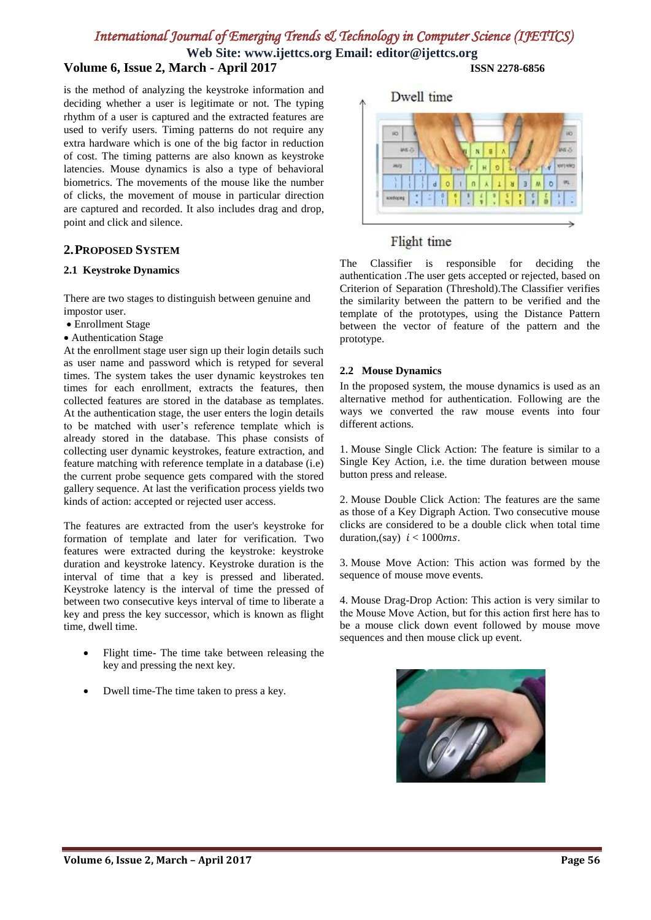# *International Journal of Emerging Trends & Technology in Computer Science (IJETTCS)*

**Web Site: www.ijettcs.org Email: editor@ijettcs.org Volume 6, Issue 2, March - April 2017 ISSN 2278-6856**

is the method of analyzing the keystroke information and deciding whether a user is legitimate or not. The typing rhythm of a user is captured and the extracted features are used to verify users. Timing patterns do not require any extra hardware which is one of the big factor in reduction of cost. The timing patterns are also known as keystroke latencies. Mouse dynamics is also a type of behavioral biometrics. The movements of the mouse like the number of clicks, the movement of mouse in particular direction are captured and recorded. It also includes drag and drop, point and click and silence.

# **2.PROPOSED SYSTEM**

#### **2.1 Keystroke Dynamics**

There are two stages to distinguish between genuine and impostor user.

- Enrollment Stage
- Authentication Stage

At the enrollment stage user sign up their login details such as user name and password which is retyped for several times. The system takes the user dynamic keystrokes ten times for each enrollment, extracts the features, then collected features are stored in the database as templates. At the authentication stage, the user enters the login details to be matched with user's reference template which is already stored in the database. This phase consists of collecting user dynamic keystrokes, feature extraction, and feature matching with reference template in a database (i.e) the current probe sequence gets compared with the stored gallery sequence. At last the verification process yields two kinds of action: accepted or rejected user access.

The features are extracted from the user's keystroke for formation of template and later for verification. Two features were extracted during the keystroke: keystroke duration and keystroke latency. Keystroke duration is the interval of time that a key is pressed and liberated. Keystroke latency is the interval of time the pressed of between two consecutive keys interval of time to liberate a key and press the key successor, which is known as flight time, dwell time.

- Flight time- The time take between releasing the key and pressing the next key.
- Dwell time-The time taken to press a key.



### Flight time

The Classifier is responsible for deciding the authentication .The user gets accepted or rejected, based on Criterion of Separation (Threshold).The Classifier verifies the similarity between the pattern to be verified and the template of the prototypes, using the Distance Pattern between the vector of feature of the pattern and the prototype.

### **2.2 Mouse Dynamics**

In the proposed system, the mouse dynamics is used as an alternative method for authentication. Following are the ways we converted the raw mouse events into four different actions.

1. Mouse Single Click Action: The feature is similar to a Single Key Action, i.e. the time duration between mouse button press and release.

2. Mouse Double Click Action: The features are the same as those of a Key Digraph Action. Two consecutive mouse clicks are considered to be a double click when total time duration,(say)  $i < 1000$ ms.

3. Mouse Move Action: This action was formed by the sequence of mouse move events.

4. Mouse Drag-Drop Action: This action is very similar to the Mouse Move Action, but for this action first here has to be a mouse click down event followed by mouse move sequences and then mouse click up event.

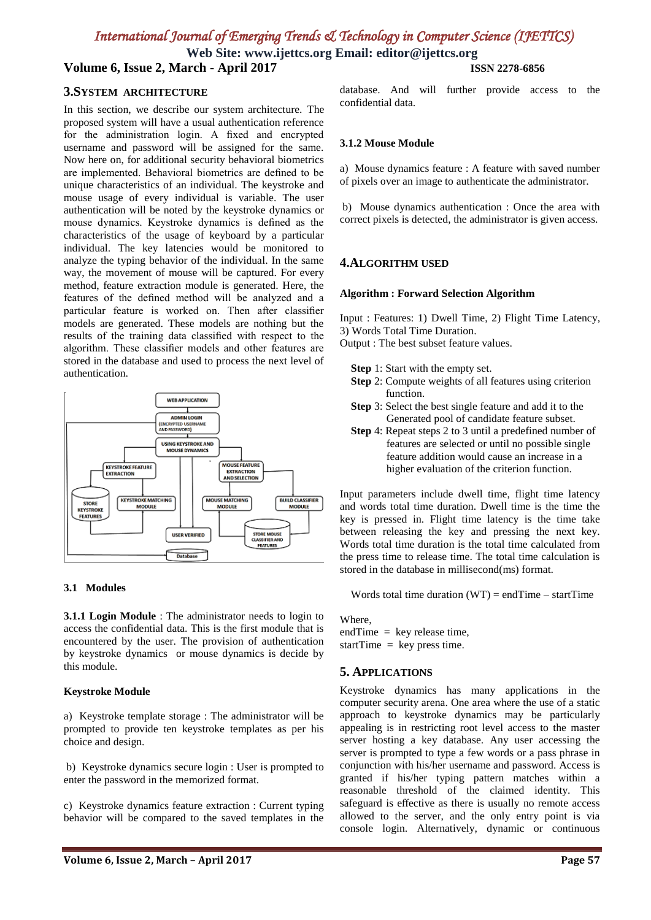# *International Journal of Emerging Trends & Technology in Computer Science (IJETTCS)*

**Web Site: www.ijettcs.org Email: editor@ijettcs.org Volume 6, Issue 2, March - April 2017 ISSN 2278-6856**

**3.SYSTEM ARCHITECTURE**

In this section, we describe our system architecture. The proposed system will have a usual authentication reference for the administration login. A fixed and encrypted username and password will be assigned for the same. Now here on, for additional security behavioral biometrics are implemented. Behavioral biometrics are defined to be unique characteristics of an individual. The keystroke and mouse usage of every individual is variable. The user authentication will be noted by the keystroke dynamics or mouse dynamics. Keystroke dynamics is defined as the characteristics of the usage of keyboard by a particular individual. The key latencies would be monitored to analyze the typing behavior of the individual. In the same way, the movement of mouse will be captured. For every method, feature extraction module is generated. Here, the features of the defined method will be analyzed and a particular feature is worked on. Then after classifier models are generated. These models are nothing but the results of the training data classified with respect to the algorithm. These classifier models and other features are stored in the database and used to process the next level of authentication.



#### **3.1 Modules**

**3.1.1 Login Module** : The administrator needs to login to access the confidential data. This is the first module that is encountered by the user. The provision of authentication by keystroke dynamics or mouse dynamics is decide by this module.

#### **Keystroke Module**

a) Keystroke template storage : The administrator will be prompted to provide ten keystroke templates as per his choice and design.

b) Keystroke dynamics secure login : User is prompted to enter the password in the memorized format.

c) Keystroke dynamics feature extraction : Current typing behavior will be compared to the saved templates in the database. And will further provide access to the confidential data.

#### **3.1.2 Mouse Module**

a) Mouse dynamics feature : A feature with saved number of pixels over an image to authenticate the administrator.

b) Mouse dynamics authentication : Once the area with correct pixels is detected, the administrator is given access.

### **4.ALGORITHM USED**

#### **Algorithm : Forward Selection Algorithm**

Input : Features: 1) Dwell Time, 2) Flight Time Latency, 3) Words Total Time Duration.

Output : The best subset feature values.

- **Step** 1: Start with the empty set.
- **Step** 2: Compute weights of all features using criterion function.
- **Step** 3: Select the best single feature and add it to the Generated pool of candidate feature subset.
- **Step** 4: Repeat steps 2 to 3 until a predefined number of features are selected or until no possible single feature addition would cause an increase in a higher evaluation of the criterion function.

Input parameters include dwell time, flight time latency and words total time duration. Dwell time is the time the key is pressed in. Flight time latency is the time take between releasing the key and pressing the next key. Words total time duration is the total time calculated from the press time to release time. The total time calculation is stored in the database in millisecond(ms) format.

Words total time duration  $(WT) = endTime - startTime$ 

Where,  $endTime = \text{key release time},$ startTime = key press time.

### **5. APPLICATIONS**

Keystroke dynamics has many applications in the computer security arena. One area where the use of a static approach to keystroke dynamics may be particularly appealing is in restricting root level access to the master server hosting a key database. Any user accessing the server is prompted to type a few words or a pass phrase in conjunction with his/her username and password. Access is granted if his/her typing pattern matches within a reasonable threshold of the claimed identity. This safeguard is effective as there is usually no remote access allowed to the server, and the only entry point is via console login. Alternatively, dynamic or continuous